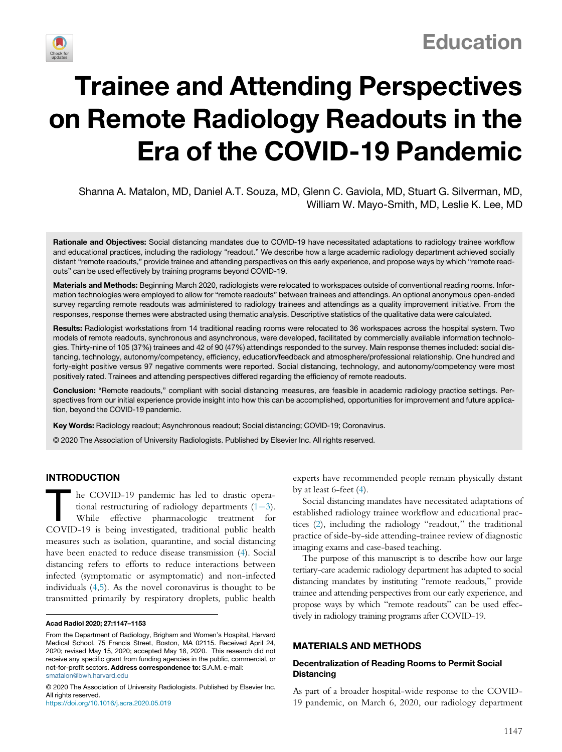

# **Education**

# Trainee and Attending Perspectives on Remote Radiology Readouts in the Era of the COVID-19 Pandemic

Shanna A. Matalon, MD, Daniel A.T. Souza, MD, Glenn C. Gaviola, MD, Stuart G. Silverman, MD, William W. Mayo-Smith, MD, Leslie K. Lee, MD

Rationale and Objectives: Social distancing mandates due to COVID-19 have necessitated adaptations to radiology trainee workflow and educational practices, including the radiology "readout." We describe how a large academic radiology department achieved socially distant "remote readouts," provide trainee and attending perspectives on this early experience, and propose ways by which "remote readouts" can be used effectively by training programs beyond COVID-19.

Materials and Methods: Beginning March 2020, radiologists were relocated to workspaces outside of conventional reading rooms. Information technologies were employed to allow for "remote readouts" between trainees and attendings. An optional anonymous open-ended survey regarding remote readouts was administered to radiology trainees and attendings as a quality improvement initiative. From the responses, response themes were abstracted using thematic analysis. Descriptive statistics of the qualitative data were calculated.

Results: Radiologist workstations from 14 traditional reading rooms were relocated to 36 workspaces across the hospital system. Two models of remote readouts, synchronous and asynchronous, were developed, facilitated by commercially available information technologies. Thirty-nine of 105 (37%) trainees and 42 of 90 (47%) attendings responded to the survey. Main response themes included: social distancing, technology, autonomy/competency, efficiency, education/feedback and atmosphere/professional relationship. One hundred and forty-eight positive versus 97 negative comments were reported. Social distancing, technology, and autonomy/competency were most positively rated. Trainees and attending perspectives differed regarding the efficiency of remote readouts.

Conclusion: "Remote readouts," compliant with social distancing measures, are feasible in academic radiology practice settings. Perspectives from our initial experience provide insight into how this can be accomplished, opportunities for improvement and future application, beyond the COVID-19 pandemic.

Key Words: Radiology readout; Asynchronous readout; Social distancing; COVID-19; Coronavirus.

© 2020 The Association of University Radiologists. Published by Elsevier Inc. All rights reserved.

# **INTRODUCTION**

he COVID-19 pandemic has led to drastic operational restructuring of radiology departments  $(1-3)$  $(1-3)$  $(1-3)$ . While effective pharmacologic treatment for COVID-19 is being investigated, traditional public health measures such as isolation, quarantine, and social distancing have been enacted to reduce disease transmission [\(4\)](#page-6-1). Social distancing refers to efforts to reduce interactions between infected (symptomatic or asymptomatic) and non-infected individuals [\(4](#page-6-1),[5](#page-6-2)). As the novel coronavirus is thought to be transmitted primarily by respiratory droplets, public health

<https://doi.org/10.1016/j.acra.2020.05.019>

experts have recommended people remain physically distant by at least 6-feet [\(4](#page-6-1)).

Social distancing mandates have necessitated adaptations of established radiology trainee workflow and educational practices ([2\)](#page-6-3), including the radiology "readout," the traditional practice of side-by-side attending-trainee review of diagnostic imaging exams and case-based teaching.

The purpose of this manuscript is to describe how our large tertiary-care academic radiology department has adapted to social distancing mandates by instituting "remote readouts," provide trainee and attending perspectives from our early experience, and propose ways by which "remote readouts" can be used effectively in radiology training programs after COVID-19.

# MATERIALS AND METHODS

#### Decentralization of Reading Rooms to Permit Social **Distancing**

As part of a broader hospital-wide response to the COVID-19 pandemic, on March 6, 2020, our radiology department

Acad Radiol 2020; 27:1147–1153

From the Department of Radiology, Brigham and Women's Hospital, Harvard Medical School, 75 Francis Street, Boston, MA 02115. Received April 24, 2020; revised May 15, 2020; accepted May 18, 2020. This research did not receive any specific grant from funding agencies in the public, commercial, or not-for-profit sectors. Address correspondence to: S.A.M. e-mail: [smatalon@bwh.harvard.edu](mailto:smatalon@bwh.harvard.edu)

<sup>© 2020</sup> The Association of University Radiologists. Published by Elsevier Inc. All rights reserved.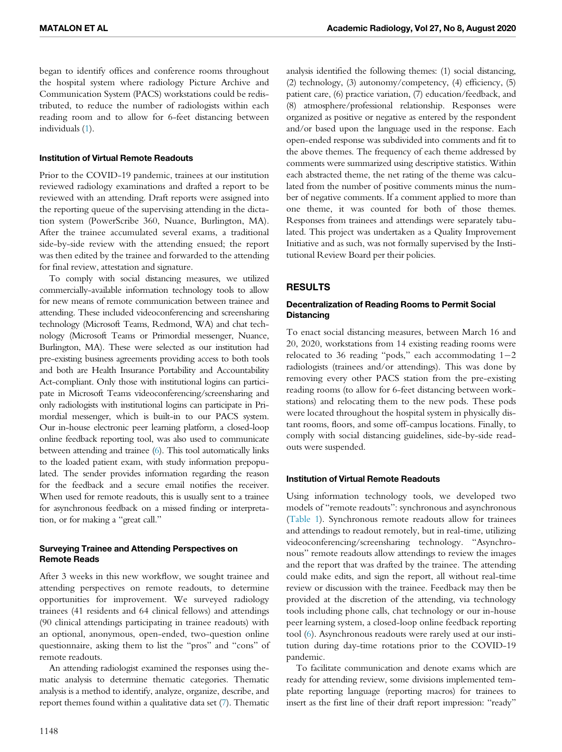began to identify offices and conference rooms throughout the hospital system where radiology Picture Archive and Communication System (PACS) workstations could be redistributed, to reduce the number of radiologists within each reading room and to allow for 6-feet distancing between individuals [\(1\)](#page-6-0).

#### Institution of Virtual Remote Readouts

Prior to the COVID-19 pandemic, trainees at our institution reviewed radiology examinations and drafted a report to be reviewed with an attending. Draft reports were assigned into the reporting queue of the supervising attending in the dictation system (PowerScribe 360, Nuance, Burlington, MA). After the trainee accumulated several exams, a traditional side-by-side review with the attending ensued; the report was then edited by the trainee and forwarded to the attending for final review, attestation and signature.

To comply with social distancing measures, we utilized commercially-available information technology tools to allow for new means of remote communication between trainee and attending. These included videoconferencing and screensharing technology (Microsoft Teams, Redmond, WA) and chat technology (Microsoft Teams or Primordial messenger, Nuance, Burlington, MA). These were selected as our institution had pre-existing business agreements providing access to both tools and both are Health Insurance Portability and Accountability Act-compliant. Only those with institutional logins can participate in Microsoft Teams videoconferencing/screensharing and only radiologists with institutional logins can participate in Primordial messenger, which is built-in to our PACS system. Our in-house electronic peer learning platform, a closed-loop online feedback reporting tool, was also used to communicate between attending and trainee [\(6\)](#page-6-4). This tool automatically links to the loaded patient exam, with study information prepopulated. The sender provides information regarding the reason for the feedback and a secure email notifies the receiver. When used for remote readouts, this is usually sent to a trainee for asynchronous feedback on a missed finding or interpretation, or for making a "great call."

#### Surveying Trainee and Attending Perspectives on Remote Reads

After 3 weeks in this new workflow, we sought trainee and attending perspectives on remote readouts, to determine opportunities for improvement. We surveyed radiology trainees (41 residents and 64 clinical fellows) and attendings (90 clinical attendings participating in trainee readouts) with an optional, anonymous, open-ended, two-question online questionnaire, asking them to list the "pros" and "cons" of remote readouts.

An attending radiologist examined the responses using thematic analysis to determine thematic categories. Thematic analysis is a method to identify, analyze, organize, describe, and report themes found within a qualitative data set ([7\)](#page-6-5). Thematic analysis identified the following themes: (1) social distancing, (2) technology, (3) autonomy/competency, (4) efficiency, (5) patient care, (6) practice variation, (7) education/feedback, and (8) atmosphere/professional relationship. Responses were organized as positive or negative as entered by the respondent and/or based upon the language used in the response. Each open-ended response was subdivided into comments and fit to the above themes. The frequency of each theme addressed by comments were summarized using descriptive statistics. Within each abstracted theme, the net rating of the theme was calculated from the number of positive comments minus the number of negative comments. If a comment applied to more than one theme, it was counted for both of those themes. Responses from trainees and attendings were separately tabulated. This project was undertaken as a Quality Improvement Initiative and as such, was not formally supervised by the Institutional Review Board per their policies.

# RESULTS

#### Decentralization of Reading Rooms to Permit Social **Distancing**

To enact social distancing measures, between March 16 and 20, 2020, workstations from 14 existing reading rooms were relocated to 36 reading "pods," each accommodating  $1-2$ radiologists (trainees and/or attendings). This was done by removing every other PACS station from the pre-existing reading rooms (to allow for 6-feet distancing between workstations) and relocating them to the new pods. These pods were located throughout the hospital system in physically distant rooms, floors, and some off-campus locations. Finally, to comply with social distancing guidelines, side-by-side readouts were suspended.

#### Institution of Virtual Remote Readouts

Using information technology tools, we developed two models of "remote readouts": synchronous and asynchronous [\(Table 1\)](#page-2-0). Synchronous remote readouts allow for trainees and attendings to readout remotely, but in real-time, utilizing videoconferencing/screensharing technology. "Asynchronous" remote readouts allow attendings to review the images and the report that was drafted by the trainee. The attending could make edits, and sign the report, all without real-time review or discussion with the trainee. Feedback may then be provided at the discretion of the attending, via technology tools including phone calls, chat technology or our in-house peer learning system, a closed-loop online feedback reporting tool [\(6](#page-6-4)). Asynchronous readouts were rarely used at our institution during day-time rotations prior to the COVID-19 pandemic.

To facilitate communication and denote exams which are ready for attending review, some divisions implemented template reporting language (reporting macros) for trainees to insert as the first line of their draft report impression: "ready"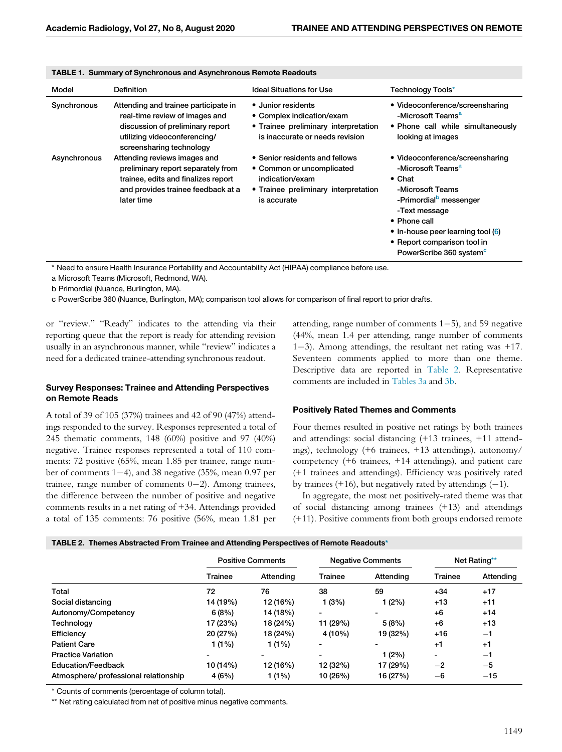<span id="page-2-0"></span>

| Model        | <b>Definition</b>                                                                                                                                                      | <b>Ideal Situations for Use</b>                                                                                                       | Technology Tools*                                                                                                                                                                                                                                                                        |
|--------------|------------------------------------------------------------------------------------------------------------------------------------------------------------------------|---------------------------------------------------------------------------------------------------------------------------------------|------------------------------------------------------------------------------------------------------------------------------------------------------------------------------------------------------------------------------------------------------------------------------------------|
| Synchronous  | Attending and trainee participate in<br>real-time review of images and<br>discussion of preliminary report<br>utilizing videoconferencing/<br>screensharing technology | • Junior residents<br>• Complex indication/exam<br>• Trainee preliminary interpretation<br>is inaccurate or needs revision            | • Videoconference/screensharing<br>-Microsoft Teams <sup>a</sup><br>• Phone call while simultaneously<br>looking at images                                                                                                                                                               |
| Asynchronous | Attending reviews images and<br>preliminary report separately from<br>trainee, edits and finalizes report<br>and provides trainee feedback at a<br>later time          | • Senior residents and fellows<br>• Common or uncomplicated<br>indication/exam<br>• Trainee preliminary interpretation<br>is accurate | • Videoconference/screensharing<br>-Microsoft Teams <sup>a</sup><br>$\bullet$ Chat<br>-Microsoft Teams<br>-Primordial <sup>b</sup> messenger<br>-Text message<br>• Phone call<br>• In-house peer learning tool (6)<br>• Report comparison tool in<br>PowerScribe 360 system <sup>c</sup> |

<span id="page-2-2"></span>\* Need to ensure Health Insurance Portability and Accountability Act (HIPAA) compliance before use.

<span id="page-2-3"></span>a Microsoft Teams (Microsoft, Redmond, WA).

<span id="page-2-4"></span>b Primordial (Nuance, Burlington, MA).

c PowerScribe 360 (Nuance, Burlington, MA); comparison tool allows for comparison of final report to prior drafts.

or "review." "Ready" indicates to the attending via their reporting queue that the report is ready for attending revision usually in an asynchronous manner, while "review" indicates a need for a dedicated trainee-attending synchronous readout.

#### Survey Responses: Trainee and Attending Perspectives on Remote Reads

A total of 39 of 105 (37%) trainees and 42 of 90 (47%) attendings responded to the survey. Responses represented a total of 245 thematic comments, 148 (60%) positive and 97 (40%) negative. Trainee responses represented a total of 110 comments: 72 positive (65%, mean 1.85 per trainee, range number of comments  $1-4$ ), and 38 negative (35%, mean 0.97 per trainee, range number of comments  $0-2$ ). Among trainees, the difference between the number of positive and negative comments results in a net rating of +34. Attendings provided a total of 135 comments: 76 positive (56%, mean 1.81 per

attending, range number of comments  $1-5$ ), and 59 negative (44%, mean 1.4 per attending, range number of comments  $1-3$ ). Among attendings, the resultant net rating was  $+17$ . Seventeen comments applied to more than one theme. Descriptive data are reported in [Table 2](#page-2-1). Representative comments are included in [Tables 3a](#page-3-0) and [3b.](#page-4-0)

#### Positively Rated Themes and Comments

Four themes resulted in positive net ratings by both trainees and attendings: social distancing (+13 trainees, +11 attendings), technology (+6 trainees, +13 attendings), autonomy/ competency (+6 trainees, +14 attendings), and patient care (+1 trainees and attendings). Efficiency was positively rated by trainees  $(+16)$ , but negatively rated by attendings  $(-1)$ .

In aggregate, the most net positively-rated theme was that of social distancing among trainees (+13) and attendings (+11). Positive comments from both groups endorsed remote

<span id="page-2-1"></span>

|  | TABLE 2. Themes Abstracted From Trainee and Attending Perspectives of Remote Readouts* |  |  |  |
|--|----------------------------------------------------------------------------------------|--|--|--|
|--|----------------------------------------------------------------------------------------|--|--|--|

|                                       | <b>Positive Comments</b> |           | <b>Negative Comments</b> |           | Net Rating**             |           |
|---------------------------------------|--------------------------|-----------|--------------------------|-----------|--------------------------|-----------|
|                                       | Trainee                  | Attending | Trainee                  | Attendina | Trainee                  | Attending |
| Total                                 | 72                       | 76        | 38                       | 59        | $+34$                    | $+17$     |
| Social distancing                     | 14 (19%)                 | 12 (16%)  | 1(3%)                    | $1(2\%)$  | $+13$                    | $+11$     |
| Autonomy/Competency                   | 6(8%)                    | 14 (18%)  | -                        | -         | +6                       | $+14$     |
| Technology                            | 17 (23%)                 | 18 (24%)  | 11 (29%)                 | 5(8%)     | $+6$                     | $+13$     |
| Efficiency                            | 20 (27%)                 | 18 (24%)  | 4 (10%)                  | 19 (32%)  | $+16$                    | $-1$      |
| <b>Patient Care</b>                   | $1(1\%)$                 | $1(1\%)$  | -                        |           | $+1$                     | $+1$      |
| <b>Practice Variation</b>             |                          |           |                          | $1(2\%)$  | $\overline{\phantom{0}}$ | $-1$      |
| Education/Feedback                    | 10 (14%)                 | 12 (16%)  | 12 (32%)                 | 17 (29%)  | $-2$                     | $-5$      |
| Atmosphere/ professional relationship | 4 (6%)                   | $1(1\%)$  | 10 (26%)                 | 16 (27%)  | -6                       | $-15$     |

<span id="page-2-5"></span>\* Counts of comments (percentage of column total).

\*\* Net rating calculated from net of positive minus negative comments.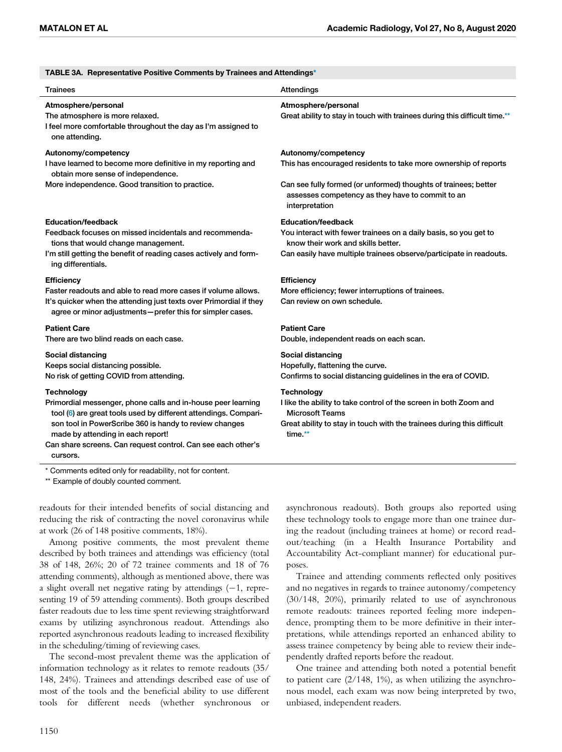<span id="page-3-0"></span>

| <b>Trainees</b>                                                                                                                                                                                                                                                                                                          | Attendings                                                                                                                                                                                                                  |
|--------------------------------------------------------------------------------------------------------------------------------------------------------------------------------------------------------------------------------------------------------------------------------------------------------------------------|-----------------------------------------------------------------------------------------------------------------------------------------------------------------------------------------------------------------------------|
| Atmosphere/personal<br>The atmosphere is more relaxed.<br>I feel more comfortable throughout the day as I'm assigned to<br>one attending.                                                                                                                                                                                | Atmosphere/personal<br>Great ability to stay in touch with trainees during this difficult time.**                                                                                                                           |
| Autonomy/competency<br>I have learned to become more definitive in my reporting and<br>obtain more sense of independence.<br>More independence. Good transition to practice.                                                                                                                                             | Autonomy/competency<br>This has encouraged residents to take more ownership of reports<br>Can see fully formed (or unformed) thoughts of trainees; better<br>assesses competency as they have to commit to an               |
| <b>Education/feedback</b><br>Feedback focuses on missed incidentals and recommenda-<br>tions that would change management.<br>I'm still getting the benefit of reading cases actively and form-<br>ing differentials.                                                                                                    | interpretation<br><b>Education/feedback</b><br>You interact with fewer trainees on a daily basis, so you get to<br>know their work and skills better.<br>Can easily have multiple trainees observe/participate in readouts. |
| <b>Efficiency</b><br>Faster readouts and able to read more cases if volume allows.<br>It's quicker when the attending just texts over Primordial if they<br>agree or minor adjustments – prefer this for simpler cases.                                                                                                  | <b>Efficiency</b><br>More efficiency; fewer interruptions of trainees.<br>Can review on own schedule.                                                                                                                       |
| <b>Patient Care</b><br>There are two blind reads on each case.                                                                                                                                                                                                                                                           | <b>Patient Care</b><br>Double, independent reads on each scan.                                                                                                                                                              |
| Social distancing<br>Keeps social distancing possible.<br>No risk of getting COVID from attending.                                                                                                                                                                                                                       | Social distancing<br>Hopefully, flattening the curve.<br>Confirms to social distancing guidelines in the era of COVID.                                                                                                      |
| Technology<br>Primordial messenger, phone calls and in-house peer learning<br>tool (6) are great tools used by different attendings. Compari-<br>son tool in PowerScribe 360 is handy to review changes<br>made by attending in each report!<br>Can share screens. Can request control. Can see each other's<br>cursors. | <b>Technology</b><br>I like the ability to take control of the screen in both Zoom and<br><b>Microsoft Teams</b><br>Great ability to stay in touch with the trainees during this difficult<br>time **                       |
| * Comments edited only for readability, not for content.<br>** Example of doubly counted comment.                                                                                                                                                                                                                        |                                                                                                                                                                                                                             |

<span id="page-3-1"></span>reducing the risk of contracting the novel coronavirus while at work (26 of 148 positive comments, 18%).

Among positive comments, the most prevalent theme described by both trainees and attendings was efficiency (total 38 of 148, 26%; 20 of 72 trainee comments and 18 of 76 attending comments), although as mentioned above, there was a slight overall net negative rating by attendings  $(-1,$  representing 19 of 59 attending comments). Both groups described faster readouts due to less time spent reviewing straightforward exams by utilizing asynchronous readout. Attendings also reported asynchronous readouts leading to increased flexibility in the scheduling/timing of reviewing cases.

The second-most prevalent theme was the application of information technology as it relates to remote readouts (35/ 148, 24%). Trainees and attendings described ease of use of most of the tools and the beneficial ability to use different tools for different needs (whether synchronous or

these technology tools to engage more than one trainee during the readout (including trainees at home) or record readout/teaching (in a Health Insurance Portability and Accountability Act-compliant manner) for educational purposes.

Trainee and attending comments reflected only positives and no negatives in regards to trainee autonomy/competency (30/148, 20%), primarily related to use of asynchronous remote readouts: trainees reported feeling more independence, prompting them to be more definitive in their interpretations, while attendings reported an enhanced ability to assess trainee competency by being able to review their independently drafted reports before the readout.

One trainee and attending both noted a potential benefit to patient care  $(2/148, 1\%)$ , as when utilizing the asynchronous model, each exam was now being interpreted by two, unbiased, independent readers.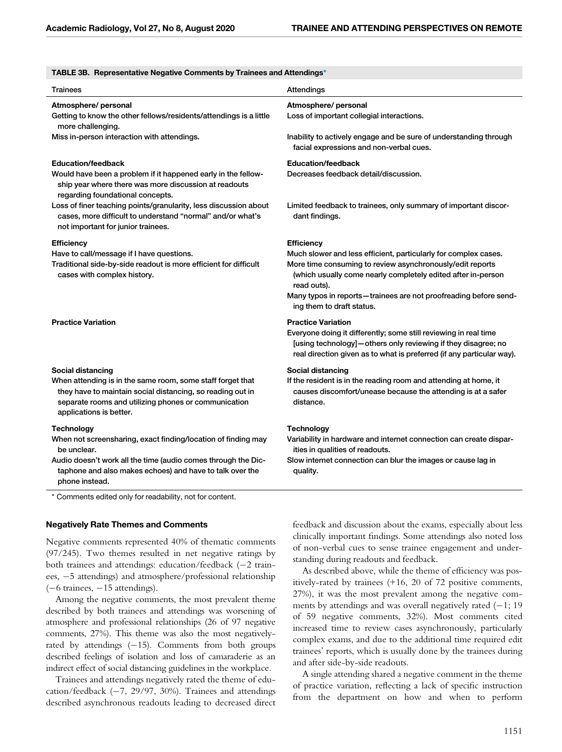<span id="page-4-0"></span>

| TABLE 3B. Representative Negative Comments by Trainees and Attendings*                                                                                                                                                                           |                                                                                                                                                                                                                                                                                                                                     |  |
|--------------------------------------------------------------------------------------------------------------------------------------------------------------------------------------------------------------------------------------------------|-------------------------------------------------------------------------------------------------------------------------------------------------------------------------------------------------------------------------------------------------------------------------------------------------------------------------------------|--|
| <b>Trainees</b>                                                                                                                                                                                                                                  | Attendings                                                                                                                                                                                                                                                                                                                          |  |
| Atmosphere/ personal<br>Getting to know the other fellows/residents/attendings is a little<br>more challenging.                                                                                                                                  | Atmosphere/ personal<br>Loss of important collegial interactions.                                                                                                                                                                                                                                                                   |  |
| Miss in-person interaction with attendings.                                                                                                                                                                                                      | Inability to actively engage and be sure of understanding through<br>facial expressions and non-verbal cues.                                                                                                                                                                                                                        |  |
| <b>Education/feedback</b><br>Would have been a problem if it happened early in the fellow-<br>ship year where there was more discussion at readouts<br>regarding foundational concepts.                                                          | <b>Education/feedback</b><br>Decreases feedback detail/discussion.                                                                                                                                                                                                                                                                  |  |
| Loss of finer teaching points/granularity, less discussion about<br>cases, more difficult to understand "normal" and/or what's<br>not important for junior trainees.                                                                             | Limited feedback to trainees, only summary of important discor-<br>dant findings.                                                                                                                                                                                                                                                   |  |
| <b>Efficiency</b><br>Have to call/message if I have questions.<br>Traditional side-by-side readout is more efficient for difficult<br>cases with complex history.                                                                                | <b>Efficiency</b><br>Much slower and less efficient, particularly for complex cases.<br>More time consuming to review asynchronously/edit reports<br>(which usually come nearly completely edited after in-person<br>read outs).<br>Many typos in reports - trainees are not proofreading before send-<br>ing them to draft status. |  |
| <b>Practice Variation</b>                                                                                                                                                                                                                        | <b>Practice Variation</b><br>Everyone doing it differently; some still reviewing in real time<br>[using technology] - others only reviewing if they disagree; no<br>real direction given as to what is preferred (if any particular way).                                                                                           |  |
| Social distancing<br>When attending is in the same room, some staff forget that<br>they have to maintain social distancing, so reading out in<br>separate rooms and utilizing phones or communication<br>applications is better.                 | Social distancing<br>If the resident is in the reading room and attending at home, it<br>causes discomfort/unease because the attending is at a safer<br>distance.                                                                                                                                                                  |  |
| <b>Technology</b><br>When not screensharing, exact finding/location of finding may<br>be unclear.<br>Audio doesn't work all the time (audio comes through the Dic-<br>taphone and also makes echoes) and have to talk over the<br>phone instead. | <b>Technology</b><br>Variability in hardware and internet connection can create dispar-<br>ities in qualities of readouts.<br>Slow internet connection can blur the images or cause lag in<br>quality.                                                                                                                              |  |
| * Comments edited only for readability, not for content.                                                                                                                                                                                         |                                                                                                                                                                                                                                                                                                                                     |  |
| <b>Negatively Rate Themes and Comments</b><br>Negative comments represented 40% of thematic comments                                                                                                                                             | feedback and discussion about the exams, especially about less<br>clinically important findings. Some attendings also noted loss                                                                                                                                                                                                    |  |
| $(97/245)$ . Two themes resulted in net negative ratings by                                                                                                                                                                                      | of non-verbal cues to sense trainee engagement and under-<br>standing during readouts and feedback.                                                                                                                                                                                                                                 |  |

As described above, while the theme of efficiency was positively-rated by trainees (+16, 20 of 72 positive comments, 27%), it was the most prevalent among the negative comments by attendings and was overall negatively rated  $(-1; 19)$ of 59 negative comments, 32%). Most comments cited increased time to review cases asynchronously, particularly complex exams, and due to the additional time required edit trainees' reports, which is usually done by the trainees during and after side-by-side readouts.

A single attending shared a negative comment in the theme of practice variation, reflecting a lack of specific instruction from the department on how and when to perform

<span id="page-4-1"></span>both trainees and attendings: education/feedback  $(-2 \text{ train}$ ees,  $-5$  attendings) and atmosphere/professional relationship

Among the negative comments, the most prevalent theme described by both trainees and attendings was worsening of atmosphere and professional relationships (26 of 97 negative comments, 27%). This theme was also the most negativelyrated by attendings  $(-15)$ . Comments from both groups described feelings of isolation and loss of camaraderie as an indirect effect of social distancing guidelines in the workplace.

 $(-6 \text{ trainees}, -15 \text{ attending}).$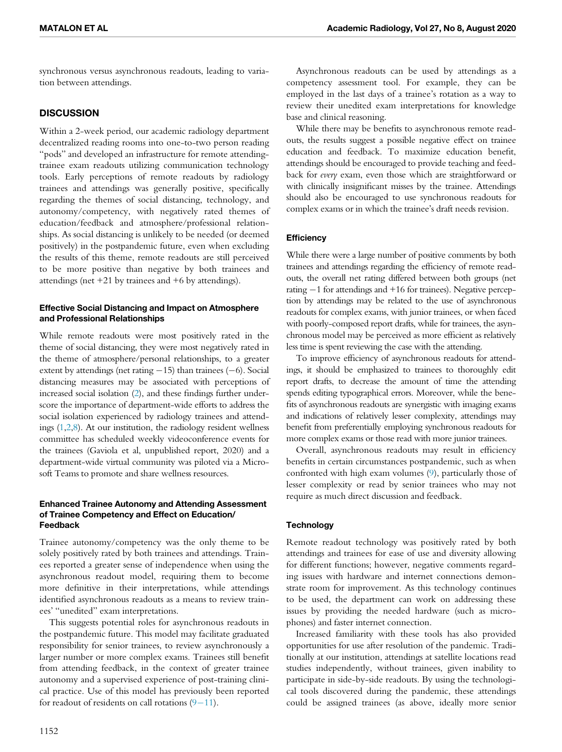synchronous versus asynchronous readouts, leading to variation between attendings.

# **DISCUSSION**

Within a 2-week period, our academic radiology department decentralized reading rooms into one-to-two person reading "pods" and developed an infrastructure for remote attendingtrainee exam readouts utilizing communication technology tools. Early perceptions of remote readouts by radiology trainees and attendings was generally positive, specifically regarding the themes of social distancing, technology, and autonomy/competency, with negatively rated themes of education/feedback and atmosphere/professional relationships. As social distancing is unlikely to be needed (or deemed positively) in the postpandemic future, even when excluding the results of this theme, remote readouts are still perceived to be more positive than negative by both trainees and attendings (net  $+21$  by trainees and  $+6$  by attendings).

# Effective Social Distancing and Impact on Atmosphere and Professional Relationships

While remote readouts were most positively rated in the theme of social distancing, they were most negatively rated in the theme of atmosphere/personal relationships, to a greater extent by attendings (net rating  $-15$ ) than trainees ( $-6$ ). Social distancing measures may be associated with perceptions of increased social isolation ([2\)](#page-6-3), and these findings further underscore the importance of department-wide efforts to address the social isolation experienced by radiology trainees and attendings ([1,](#page-6-0)[2](#page-6-3)[,8\)](#page-6-6). At our institution, the radiology resident wellness committee has scheduled weekly videoconference events for the trainees (Gaviola et al, unpublished report, 2020) and a department-wide virtual community was piloted via a Microsoft Teams to promote and share wellness resources.

# Enhanced Trainee Autonomy and Attending Assessment of Trainee Competency and Effect on Education/ Feedback

Trainee autonomy/competency was the only theme to be solely positively rated by both trainees and attendings. Trainees reported a greater sense of independence when using the asynchronous readout model, requiring them to become more definitive in their interpretations, while attendings identified asynchronous readouts as a means to review trainees' "unedited" exam interpretations.

This suggests potential roles for asynchronous readouts in the postpandemic future. This model may facilitate graduated responsibility for senior trainees, to review asynchronously a larger number or more complex exams. Trainees still benefit from attending feedback, in the context of greater trainee autonomy and a supervised experience of post-training clinical practice. Use of this model has previously been reported for readout of residents on call rotations  $(9-11)$  $(9-11)$  $(9-11)$  $(9-11)$ .

Asynchronous readouts can be used by attendings as a competency assessment tool. For example, they can be employed in the last days of a trainee's rotation as a way to review their unedited exam interpretations for knowledge base and clinical reasoning.

While there may be benefits to asynchronous remote readouts, the results suggest a possible negative effect on trainee education and feedback. To maximize education benefit, attendings should be encouraged to provide teaching and feedback for every exam, even those which are straightforward or with clinically insignificant misses by the trainee. Attendings should also be encouraged to use synchronous readouts for complex exams or in which the trainee's draft needs revision.

# **Efficiency**

While there were a large number of positive comments by both trainees and attendings regarding the efficiency of remote readouts, the overall net rating differed between both groups (net rating  $-1$  for attendings and  $+16$  for trainees). Negative perception by attendings may be related to the use of asynchronous readouts for complex exams, with junior trainees, or when faced with poorly-composed report drafts, while for trainees, the asynchronous model may be perceived as more efficient as relatively less time is spent reviewing the case with the attending.

To improve efficiency of asynchronous readouts for attendings, it should be emphasized to trainees to thoroughly edit report drafts, to decrease the amount of time the attending spends editing typographical errors. Moreover, while the benefits of asynchronous readouts are synergistic with imaging exams and indications of relatively lesser complexity, attendings may benefit from preferentially employing synchronous readouts for more complex exams or those read with more junior trainees.

Overall, asynchronous readouts may result in efficiency benefits in certain circumstances postpandemic, such as when confronted with high exam volumes ([9\)](#page-6-7), particularly those of lesser complexity or read by senior trainees who may not require as much direct discussion and feedback.

#### **Technology**

Remote readout technology was positively rated by both attendings and trainees for ease of use and diversity allowing for different functions; however, negative comments regarding issues with hardware and internet connections demonstrate room for improvement. As this technology continues to be used, the department can work on addressing these issues by providing the needed hardware (such as microphones) and faster internet connection.

Increased familiarity with these tools has also provided opportunities for use after resolution of the pandemic. Traditionally at our institution, attendings at satellite locations read studies independently, without trainees, given inability to participate in side-by-side readouts. By using the technological tools discovered during the pandemic, these attendings could be assigned trainees (as above, ideally more senior